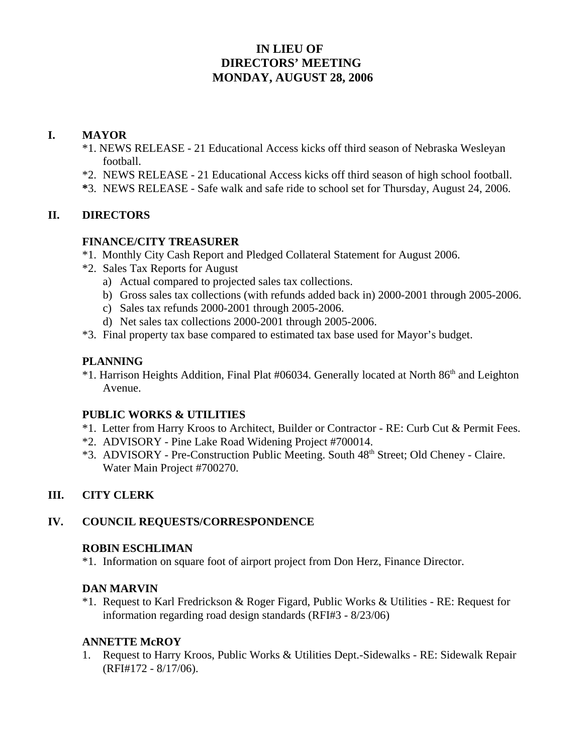# **IN LIEU OF DIRECTORS' MEETING MONDAY, AUGUST 28, 2006**

# **I. MAYOR**

- \*1. NEWS RELEASE 21 Educational Access kicks off third season of Nebraska Wesleyan football.
- \*2. NEWS RELEASE 21 Educational Access kicks off third season of high school football.
- **\***3. NEWS RELEASE Safe walk and safe ride to school set for Thursday, August 24, 2006.

# **II. DIRECTORS**

### **FINANCE/CITY TREASURER**

- \*1. Monthly City Cash Report and Pledged Collateral Statement for August 2006.
- \*2. Sales Tax Reports for August
	- a) Actual compared to projected sales tax collections.
	- b) Gross sales tax collections (with refunds added back in) 2000-2001 through 2005-2006.
	- c) Sales tax refunds 2000-2001 through 2005-2006.
	- d) Net sales tax collections 2000-2001 through 2005-2006.
- \*3. Final property tax base compared to estimated tax base used for Mayor's budget.

### **PLANNING**

\*1. Harrison Heights Addition, Final Plat #06034. Generally located at North 86th and Leighton Avenue.

# **PUBLIC WORKS & UTILITIES**

- \*1. Letter from Harry Kroos to Architect, Builder or Contractor RE: Curb Cut & Permit Fees.
- \*2. ADVISORY Pine Lake Road Widening Project #700014.
- \*3. ADVISORY Pre-Construction Public Meeting. South 48<sup>th</sup> Street; Old Cheney Claire. Water Main Project #700270.

# **III. CITY CLERK**

# **IV. COUNCIL REQUESTS/CORRESPONDENCE**

#### **ROBIN ESCHLIMAN**

\*1. Information on square foot of airport project from Don Herz, Finance Director.

#### **DAN MARVIN**

\*1. Request to Karl Fredrickson & Roger Figard, Public Works & Utilities - RE: Request for information regarding road design standards (RFI#3 - 8/23/06)

# **ANNETTE McROY**

1. Request to Harry Kroos, Public Works & Utilities Dept.-Sidewalks - RE: Sidewalk Repair (RFI#172 - 8/17/06).